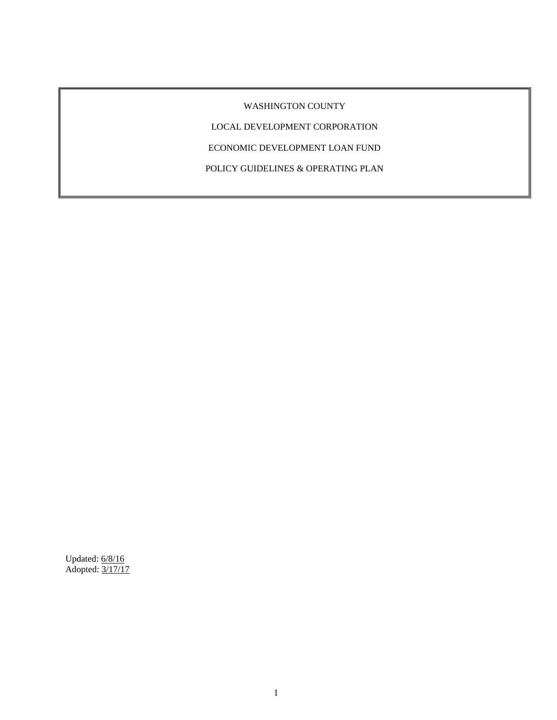# WASHINGTON COUNTY

LOCAL DEVELOPMENT CORPORATION

ECONOMIC DEVELOPMENT LOAN FUND

POLICY GUIDELINES & OPERATING PLAN

Updated: 6/8/16 Adopted: 3/17/17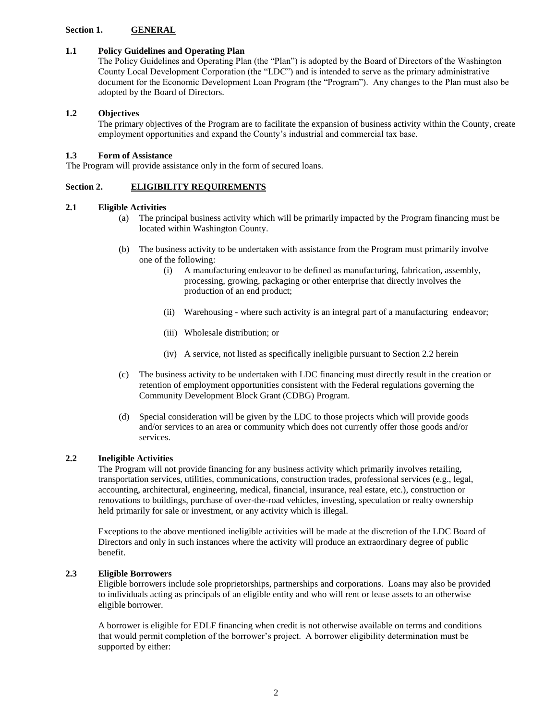## **Section 1. GENERAL**

## **1.1 Policy Guidelines and Operating Plan**

The Policy Guidelines and Operating Plan (the "Plan") is adopted by the Board of Directors of the Washington County Local Development Corporation (the "LDC") and is intended to serve as the primary administrative document for the Economic Development Loan Program (the "Program"). Any changes to the Plan must also be adopted by the Board of Directors.

## **1.2 Objectives**

The primary objectives of the Program are to facilitate the expansion of business activity within the County, create employment opportunities and expand the County's industrial and commercial tax base.

## **1.3 Form of Assistance**

The Program will provide assistance only in the form of secured loans.

### **Section 2. ELIGIBILITY REQUIREMENTS**

### **2.1 Eligible Activities**

- (a) The principal business activity which will be primarily impacted by the Program financing must be located within Washington County.
- (b) The business activity to be undertaken with assistance from the Program must primarily involve one of the following:
	- (i) A manufacturing endeavor to be defined as manufacturing, fabrication, assembly, processing, growing, packaging or other enterprise that directly involves the production of an end product;
	- (ii) Warehousing where such activity is an integral part of a manufacturing endeavor;
	- (iii) Wholesale distribution; or
	- (iv) A service, not listed as specifically ineligible pursuant to Section 2.2 herein
- (c) The business activity to be undertaken with LDC financing must directly result in the creation or retention of employment opportunities consistent with the Federal regulations governing the Community Development Block Grant (CDBG) Program.
- (d) Special consideration will be given by the LDC to those projects which will provide goods and/or services to an area or community which does not currently offer those goods and/or services.

## **2.2 Ineligible Activities**

The Program will not provide financing for any business activity which primarily involves retailing, transportation services, utilities, communications, construction trades, professional services (e.g., legal, accounting, architectural, engineering, medical, financial, insurance, real estate, etc.), construction or renovations to buildings, purchase of over-the-road vehicles, investing, speculation or realty ownership held primarily for sale or investment, or any activity which is illegal.

Exceptions to the above mentioned ineligible activities will be made at the discretion of the LDC Board of Directors and only in such instances where the activity will produce an extraordinary degree of public benefit.

## **2.3 Eligible Borrowers**

Eligible borrowers include sole proprietorships, partnerships and corporations. Loans may also be provided to individuals acting as principals of an eligible entity and who will rent or lease assets to an otherwise eligible borrower.

A borrower is eligible for EDLF financing when credit is not otherwise available on terms and conditions that would permit completion of the borrower's project. A borrower eligibility determination must be supported by either: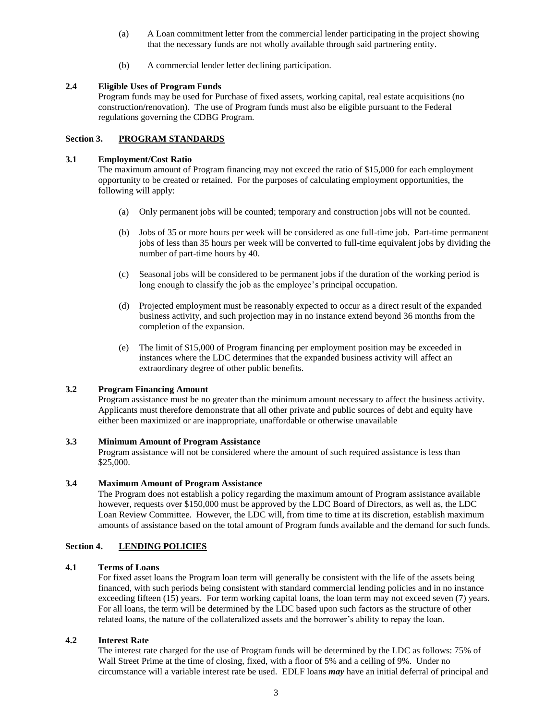- (a) A Loan commitment letter from the commercial lender participating in the project showing that the necessary funds are not wholly available through said partnering entity.
- (b) A commercial lender letter declining participation.

## **2.4 Eligible Uses of Program Funds**

Program funds may be used for Purchase of fixed assets, working capital, real estate acquisitions (no construction/renovation). The use of Program funds must also be eligible pursuant to the Federal regulations governing the CDBG Program.

## **Section 3. PROGRAM STANDARDS**

### **3.1 Employment/Cost Ratio**

The maximum amount of Program financing may not exceed the ratio of \$15,000 for each employment opportunity to be created or retained. For the purposes of calculating employment opportunities, the following will apply:

- (a) Only permanent jobs will be counted; temporary and construction jobs will not be counted.
- (b) Jobs of 35 or more hours per week will be considered as one full-time job. Part-time permanent jobs of less than 35 hours per week will be converted to full-time equivalent jobs by dividing the number of part-time hours by 40.
- (c) Seasonal jobs will be considered to be permanent jobs if the duration of the working period is long enough to classify the job as the employee's principal occupation.
- (d) Projected employment must be reasonably expected to occur as a direct result of the expanded business activity, and such projection may in no instance extend beyond 36 months from the completion of the expansion.
- (e) The limit of \$15,000 of Program financing per employment position may be exceeded in instances where the LDC determines that the expanded business activity will affect an extraordinary degree of other public benefits.

# **3.2 Program Financing Amount**

Program assistance must be no greater than the minimum amount necessary to affect the business activity. Applicants must therefore demonstrate that all other private and public sources of debt and equity have either been maximized or are inappropriate, unaffordable or otherwise unavailable

#### **3.3 Minimum Amount of Program Assistance**

Program assistance will not be considered where the amount of such required assistance is less than \$25,000.

#### **3.4 Maximum Amount of Program Assistance**

The Program does not establish a policy regarding the maximum amount of Program assistance available however, requests over \$150,000 must be approved by the LDC Board of Directors, as well as, the LDC Loan Review Committee. However, the LDC will, from time to time at its discretion, establish maximum amounts of assistance based on the total amount of Program funds available and the demand for such funds.

## **Section 4. LENDING POLICIES**

### **4.1 Terms of Loans**

For fixed asset loans the Program loan term will generally be consistent with the life of the assets being financed, with such periods being consistent with standard commercial lending policies and in no instance exceeding fifteen (15) years. For term working capital loans, the loan term may not exceed seven (7) years. For all loans, the term will be determined by the LDC based upon such factors as the structure of other related loans, the nature of the collateralized assets and the borrower's ability to repay the loan.

## **4.2 Interest Rate**

The interest rate charged for the use of Program funds will be determined by the LDC as follows: 75% of Wall Street Prime at the time of closing, fixed, with a floor of 5% and a ceiling of 9%. Under no circumstance will a variable interest rate be used. EDLF loans *may* have an initial deferral of principal and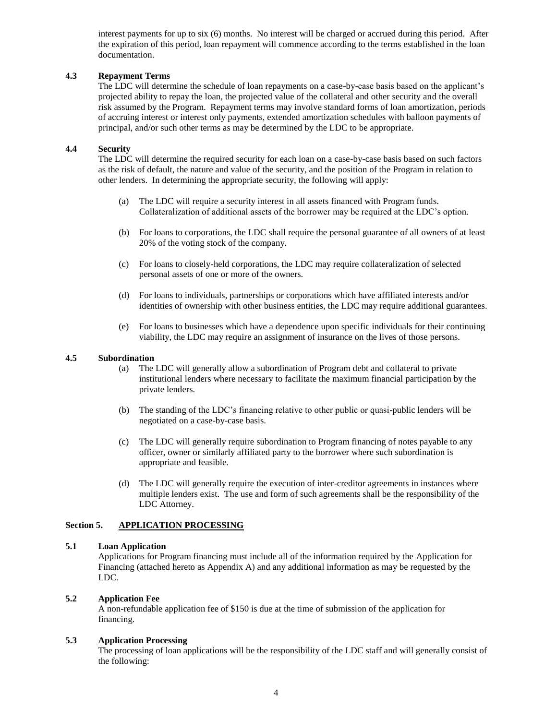interest payments for up to six (6) months. No interest will be charged or accrued during this period. After the expiration of this period, loan repayment will commence according to the terms established in the loan documentation.

## **4.3 Repayment Terms**

The LDC will determine the schedule of loan repayments on a case-by-case basis based on the applicant's projected ability to repay the loan, the projected value of the collateral and other security and the overall risk assumed by the Program. Repayment terms may involve standard forms of loan amortization, periods of accruing interest or interest only payments, extended amortization schedules with balloon payments of principal, and/or such other terms as may be determined by the LDC to be appropriate.

### **4.4 Security**

The LDC will determine the required security for each loan on a case-by-case basis based on such factors as the risk of default, the nature and value of the security, and the position of the Program in relation to other lenders. In determining the appropriate security, the following will apply:

- (a) The LDC will require a security interest in all assets financed with Program funds. Collateralization of additional assets of the borrower may be required at the LDC's option.
- (b) For loans to corporations, the LDC shall require the personal guarantee of all owners of at least 20% of the voting stock of the company.
- (c) For loans to closely-held corporations, the LDC may require collateralization of selected personal assets of one or more of the owners.
- (d) For loans to individuals, partnerships or corporations which have affiliated interests and/or identities of ownership with other business entities, the LDC may require additional guarantees.
- (e) For loans to businesses which have a dependence upon specific individuals for their continuing viability, the LDC may require an assignment of insurance on the lives of those persons.

#### **4.5 Subordination**

- (a) The LDC will generally allow a subordination of Program debt and collateral to private institutional lenders where necessary to facilitate the maximum financial participation by the private lenders.
- (b) The standing of the LDC's financing relative to other public or quasi-public lenders will be negotiated on a case-by-case basis.
- (c) The LDC will generally require subordination to Program financing of notes payable to any officer, owner or similarly affiliated party to the borrower where such subordination is appropriate and feasible.
- (d) The LDC will generally require the execution of inter-creditor agreements in instances where multiple lenders exist. The use and form of such agreements shall be the responsibility of the LDC Attorney.

### **Section 5. APPLICATION PROCESSING**

#### **5.1 Loan Application**

Applications for Program financing must include all of the information required by the Application for Financing (attached hereto as Appendix A) and any additional information as may be requested by the LDC.

#### **5.2 Application Fee**

A non-refundable application fee of \$150 is due at the time of submission of the application for financing.

## **5.3 Application Processing**

The processing of loan applications will be the responsibility of the LDC staff and will generally consist of the following: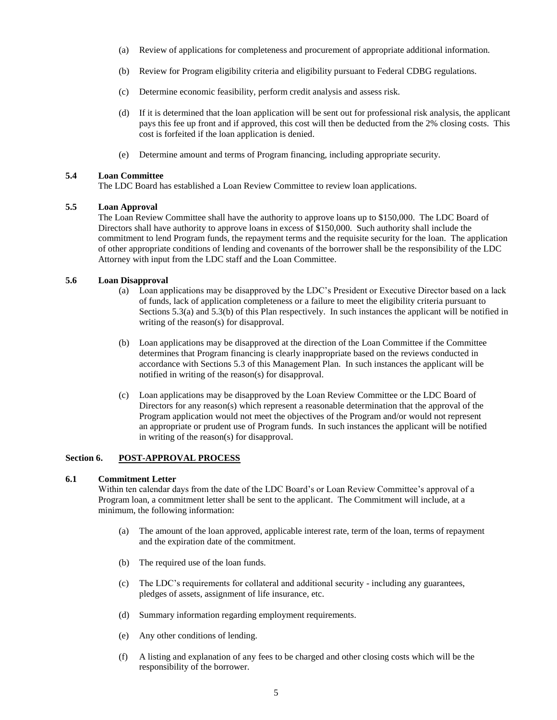- (a) Review of applications for completeness and procurement of appropriate additional information.
- (b) Review for Program eligibility criteria and eligibility pursuant to Federal CDBG regulations.
- (c) Determine economic feasibility, perform credit analysis and assess risk.
- (d) If it is determined that the loan application will be sent out for professional risk analysis, the applicant pays this fee up front and if approved, this cost will then be deducted from the 2% closing costs. This cost is forfeited if the loan application is denied.
- (e) Determine amount and terms of Program financing, including appropriate security.

### **5.4 Loan Committee**

The LDC Board has established a Loan Review Committee to review loan applications.

## **5.5 Loan Approval**

The Loan Review Committee shall have the authority to approve loans up to \$150,000. The LDC Board of Directors shall have authority to approve loans in excess of \$150,000. Such authority shall include the commitment to lend Program funds, the repayment terms and the requisite security for the loan. The application of other appropriate conditions of lending and covenants of the borrower shall be the responsibility of the LDC Attorney with input from the LDC staff and the Loan Committee.

## **5.6 Loan Disapproval**

- (a) Loan applications may be disapproved by the LDC's President or Executive Director based on a lack of funds, lack of application completeness or a failure to meet the eligibility criteria pursuant to Sections 5.3(a) and 5.3(b) of this Plan respectively. In such instances the applicant will be notified in writing of the reason(s) for disapproval.
- (b) Loan applications may be disapproved at the direction of the Loan Committee if the Committee determines that Program financing is clearly inappropriate based on the reviews conducted in accordance with Sections 5.3 of this Management Plan. In such instances the applicant will be notified in writing of the reason(s) for disapproval.
- (c) Loan applications may be disapproved by the Loan Review Committee or the LDC Board of Directors for any reason(s) which represent a reasonable determination that the approval of the Program application would not meet the objectives of the Program and/or would not represent an appropriate or prudent use of Program funds. In such instances the applicant will be notified in writing of the reason(s) for disapproval.

## **Section 6. POST-APPROVAL PROCESS**

## **6.1 Commitment Letter**

Within ten calendar days from the date of the LDC Board's or Loan Review Committee's approval of a Program loan, a commitment letter shall be sent to the applicant. The Commitment will include, at a minimum, the following information:

- (a) The amount of the loan approved, applicable interest rate, term of the loan, terms of repayment and the expiration date of the commitment.
- (b) The required use of the loan funds.
- (c) The LDC's requirements for collateral and additional security including any guarantees, pledges of assets, assignment of life insurance, etc.
- (d) Summary information regarding employment requirements.
- (e) Any other conditions of lending.
- (f) A listing and explanation of any fees to be charged and other closing costs which will be the responsibility of the borrower.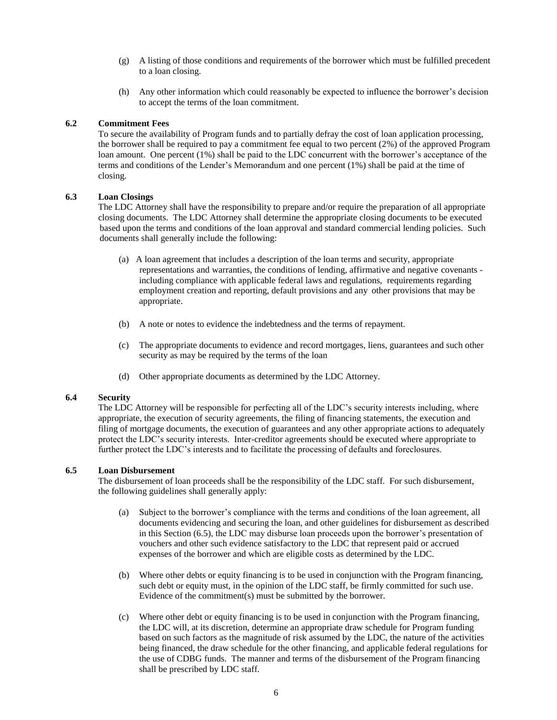- (g) A listing of those conditions and requirements of the borrower which must be fulfilled precedent to a loan closing.
- (h) Any other information which could reasonably be expected to influence the borrower's decision to accept the terms of the loan commitment.

### **6.2 Commitment Fees**

To secure the availability of Program funds and to partially defray the cost of loan application processing, the borrower shall be required to pay a commitment fee equal to two percent (2%) of the approved Program loan amount. One percent (1%) shall be paid to the LDC concurrent with the borrower's acceptance of the terms and conditions of the Lender's Memorandum and one percent (1%) shall be paid at the time of closing.

### **6.3 Loan Closings**

The LDC Attorney shall have the responsibility to prepare and/or require the preparation of all appropriate closing documents. The LDC Attorney shall determine the appropriate closing documents to be executed based upon the terms and conditions of the loan approval and standard commercial lending policies. Such documents shall generally include the following:

- (a) A loan agreement that includes a description of the loan terms and security, appropriate representations and warranties, the conditions of lending, affirmative and negative covenants including compliance with applicable federal laws and regulations, requirements regarding employment creation and reporting, default provisions and any other provisions that may be appropriate.
- (b) A note or notes to evidence the indebtedness and the terms of repayment.
- (c) The appropriate documents to evidence and record mortgages, liens, guarantees and such other security as may be required by the terms of the loan
- (d) Other appropriate documents as determined by the LDC Attorney.

### **6.4 Security**

The LDC Attorney will be responsible for perfecting all of the LDC's security interests including, where appropriate, the execution of security agreements, the filing of financing statements, the execution and filing of mortgage documents, the execution of guarantees and any other appropriate actions to adequately protect the LDC's security interests. Inter-creditor agreements should be executed where appropriate to further protect the LDC's interests and to facilitate the processing of defaults and foreclosures.

### **6.5 Loan Disbursement**

The disbursement of loan proceeds shall be the responsibility of the LDC staff. For such disbursement, the following guidelines shall generally apply:

- (a) Subject to the borrower's compliance with the terms and conditions of the loan agreement, all documents evidencing and securing the loan, and other guidelines for disbursement as described in this Section (6.5), the LDC may disburse loan proceeds upon the borrower's presentation of vouchers and other such evidence satisfactory to the LDC that represent paid or accrued expenses of the borrower and which are eligible costs as determined by the LDC.
- (b) Where other debts or equity financing is to be used in conjunction with the Program financing, such debt or equity must, in the opinion of the LDC staff, be firmly committed for such use. Evidence of the commitment(s) must be submitted by the borrower.
- (c) Where other debt or equity financing is to be used in conjunction with the Program financing, the LDC will, at its discretion, determine an appropriate draw schedule for Program funding based on such factors as the magnitude of risk assumed by the LDC, the nature of the activities being financed, the draw schedule for the other financing, and applicable federal regulations for the use of CDBG funds. The manner and terms of the disbursement of the Program financing shall be prescribed by LDC staff.